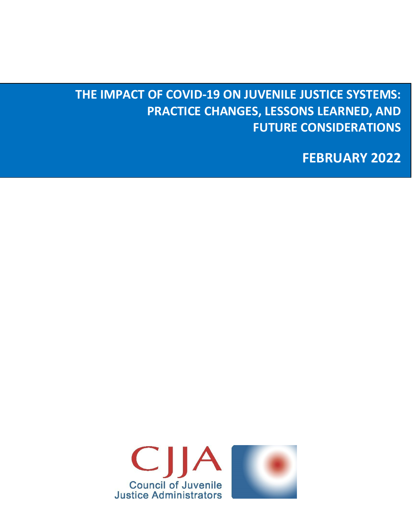# **THE IMPACT OF COVID-19 ON JUVENILE JUSTICE SYSTEMS: PRACTICE CHANGES, LESSONS LEARNED, AND FUTURE CONSIDERATIONS**

**FEBRUARY 2022**

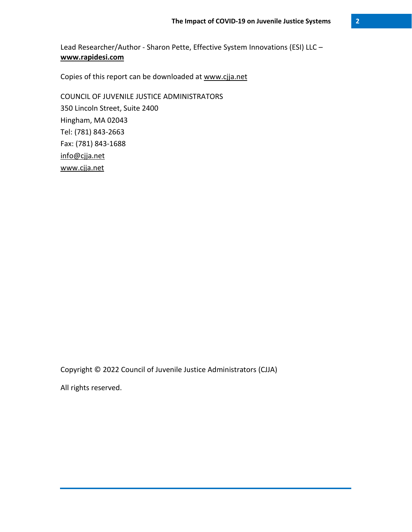Lead Researcher/Author - Sharon Pette, Effective System Innovations (ESI) LLC – **[www.rapidesi.com](http://www.rapidesi.com/)**

Copies of this report can be downloaded at [www.cjja.net](http://www.cjja.net/)

COUNCIL OF JUVENILE JUSTICE ADMINISTRATORS 350 Lincoln Street, Suite 2400 Hingham, MA 02043 Tel: (781) 843-2663 Fax: (781) 843-1688 [info@cjja.net](mailto:info@cjja.net) [www.cjja.net](http://www.cjja.net/)

Copyright © 2022 Council of Juvenile Justice Administrators (CJJA)

All rights reserved.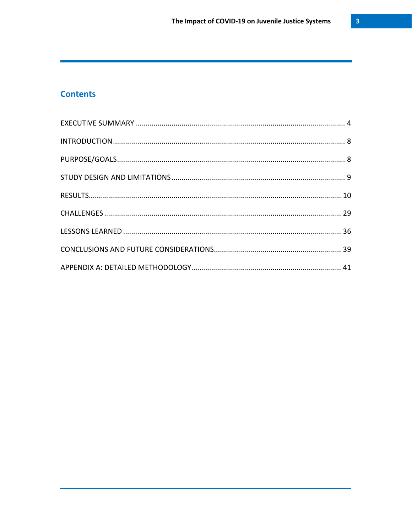# **Contents**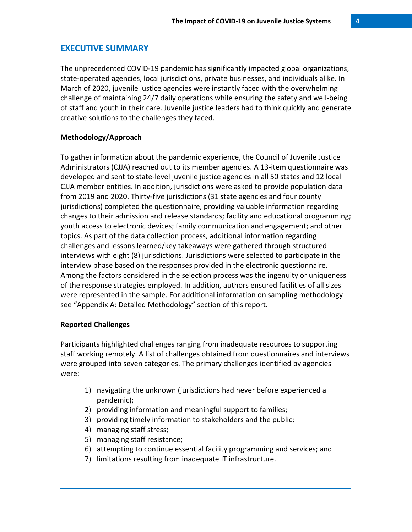# **EXECUTIVE SUMMARY**

The unprecedented COVID-19 pandemic has significantly impacted global organizations, state-operated agencies, local jurisdictions, private businesses, and individuals alike. In March of 2020, juvenile justice agencies were instantly faced with the overwhelming challenge of maintaining 24/7 daily operations while ensuring the safety and well-being of staff and youth in their care. Juvenile justice leaders had to think quickly and generate creative solutions to the challenges they faced.

#### **Methodology/Approach**

To gather information about the pandemic experience, the Council of Juvenile Justice Administrators (CJJA) reached out to its member agencies. A 13-item questionnaire was developed and sent to state-level juvenile justice agencies in all 50 states and 12 local CJJA member entities. In addition, jurisdictions were asked to provide population data from 2019 and 2020. Thirty-five jurisdictions (31 state agencies and four county jurisdictions) completed the questionnaire, providing valuable information regarding changes to their admission and release standards; facility and educational programming; youth access to electronic devices; family communication and engagement; and other topics. As part of the data collection process, additional information regarding challenges and lessons learned/key takeaways were gathered through structured interviews with eight (8) jurisdictions. Jurisdictions were selected to participate in the interview phase based on the responses provided in the electronic questionnaire. Among the factors considered in the selection process was the ingenuity or uniqueness of the response strategies employed. In addition, authors ensured facilities of all sizes were represented in the sample. For additional information on sampling methodology see "Appendix A: Detailed Methodology" section of this report.

#### **Reported Challenges**

Participants highlighted challenges ranging from inadequate resources to supporting staff working remotely. A list of challenges obtained from questionnaires and interviews were grouped into seven categories. The primary challenges identified by agencies were:

- 1) navigating the unknown (jurisdictions had never before experienced a pandemic);
- 2) providing information and meaningful support to families;
- 3) providing timely information to stakeholders and the public;
- 4) managing staff stress;
- 5) managing staff resistance;
- 6) attempting to continue essential facility programming and services; and
- 7) limitations resulting from inadequate IT infrastructure.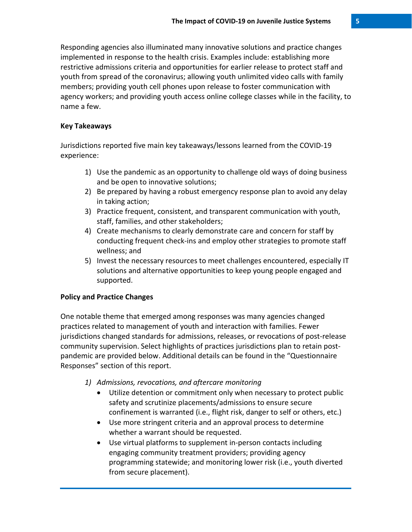Responding agencies also illuminated many innovative solutions and practice changes implemented in response to the health crisis. Examples include: establishing more restrictive admissions criteria and opportunities for earlier release to protect staff and youth from spread of the coronavirus; allowing youth unlimited video calls with family members; providing youth cell phones upon release to foster communication with agency workers; and providing youth access online college classes while in the facility, to name a few.

#### **Key Takeaways**

Jurisdictions reported five main key takeaways/lessons learned from the COVID-19 experience:

- 1) Use the pandemic as an opportunity to challenge old ways of doing business and be open to innovative solutions;
- 2) Be prepared by having a robust emergency response plan to avoid any delay in taking action;
- 3) Practice frequent, consistent, and transparent communication with youth, staff, families, and other stakeholders;
- 4) Create mechanisms to clearly demonstrate care and concern for staff by conducting frequent check-ins and employ other strategies to promote staff wellness; and
- 5) Invest the necessary resources to meet challenges encountered, especially IT solutions and alternative opportunities to keep young people engaged and supported.

#### **Policy and Practice Changes**

One notable theme that emerged among responses was many agencies changed practices related to management of youth and interaction with families. Fewer jurisdictions changed standards for admissions, releases, or revocations of post-release community supervision. Select highlights of practices jurisdictions plan to retain postpandemic are provided below. Additional details can be found in the "Questionnaire Responses" section of this report.

- *1) Admissions, revocations, and aftercare monitoring*
	- Utilize detention or commitment only when necessary to protect public safety and scrutinize placements/admissions to ensure secure confinement is warranted (i.e., flight risk, danger to self or others, etc.)
	- Use more stringent criteria and an approval process to determine whether a warrant should be requested.
	- Use virtual platforms to supplement in-person contacts including engaging community treatment providers; providing agency programming statewide; and monitoring lower risk (i.e., youth diverted from secure placement).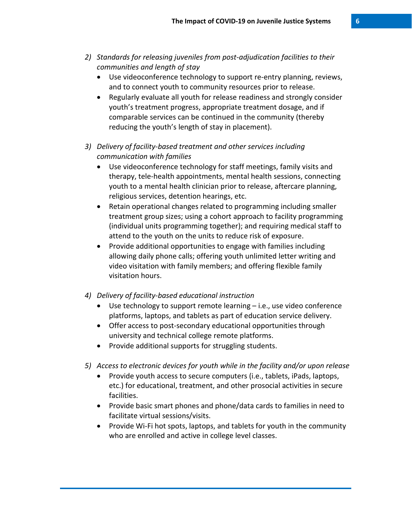- *2) Standards for releasing juveniles from post-adjudication facilities to their communities and length of stay*
	- Use videoconference technology to support re-entry planning, reviews, and to connect youth to community resources prior to release.
	- Regularly evaluate all youth for release readiness and strongly consider youth's treatment progress, appropriate treatment dosage, and if comparable services can be continued in the community (thereby reducing the youth's length of stay in placement).
- *3) Delivery of facility-based treatment and other services including communication with families* 
	- Use videoconference technology for staff meetings, family visits and therapy, tele-health appointments, mental health sessions, connecting youth to a mental health clinician prior to release, aftercare planning, religious services, detention hearings, etc.
	- Retain operational changes related to programming including smaller treatment group sizes; using a cohort approach to facility programming (individual units programming together); and requiring medical staff to attend to the youth on the units to reduce risk of exposure.
	- Provide additional opportunities to engage with families including allowing daily phone calls; offering youth unlimited letter writing and video visitation with family members; and offering flexible family visitation hours.
- *4) Delivery of facility-based educational instruction*
	- Use technology to support remote learning i.e., use video conference platforms, laptops, and tablets as part of education service delivery.
	- Offer access to post-secondary educational opportunities through university and technical college remote platforms.
	- Provide additional supports for struggling students.
- *5) Access to electronic devices for youth while in the facility and/or upon release*
	- Provide youth access to secure computers (i.e., tablets, iPads, laptops, etc.) for educational, treatment, and other prosocial activities in secure facilities.
	- Provide basic smart phones and phone/data cards to families in need to facilitate virtual sessions/visits.
	- Provide Wi-Fi hot spots, laptops, and tablets for youth in the community who are enrolled and active in college level classes.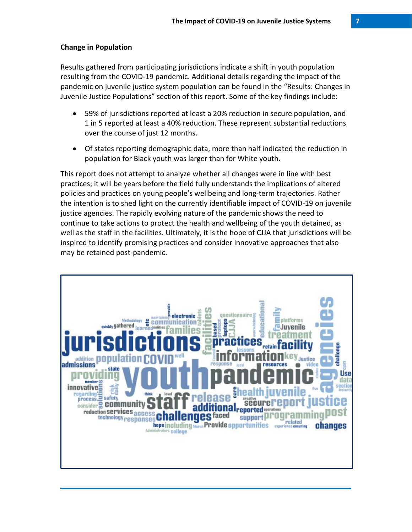#### **Change in Population**

Results gathered from participating jurisdictions indicate a shift in youth population resulting from the COVID-19 pandemic. Additional details regarding the impact of the pandemic on juvenile justice system population can be found in the "Results: Changes in Juvenile Justice Populations" section of this report. Some of the key findings include:

- 59% of jurisdictions reported at least a 20% reduction in secure population, and 1 in 5 reported at least a 40% reduction. These represent substantial reductions over the course of just 12 months.
- Of states reporting demographic data, more than half indicated the reduction in population for Black youth was larger than for White youth.

This report does not attempt to analyze whether all changes were in line with best practices; it will be years before the field fully understands the implications of altered policies and practices on young people's wellbeing and long-term trajectories. Rather the intention is to shed light on the currently identifiable impact of COVID-19 on juvenile justice agencies. The rapidly evolving nature of the pandemic shows the need to continue to take actions to protect the health and wellbeing of the youth detained, as well as the staff in the facilities. Ultimately, it is the hope of CJJA that jurisdictions will be inspired to identify promising practices and consider innovative approaches that also may be retained post-pandemic.

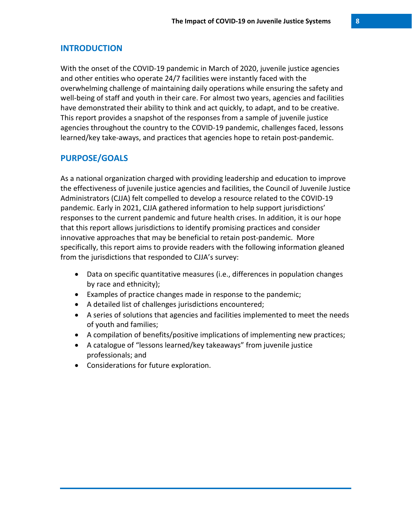## **INTRODUCTION**

With the onset of the COVID-19 pandemic in March of 2020, juvenile justice agencies and other entities who operate 24/7 facilities were instantly faced with the overwhelming challenge of maintaining daily operations while ensuring the safety and well-being of staff and youth in their care. For almost two years, agencies and facilities have demonstrated their ability to think and act quickly, to adapt, and to be creative. This report provides a snapshot of the responses from a sample of juvenile justice agencies throughout the country to the COVID-19 pandemic, challenges faced, lessons learned/key take-aways, and practices that agencies hope to retain post-pandemic.

# **PURPOSE/GOALS**

As a national organization charged with providing leadership and education to improve the effectiveness of juvenile justice agencies and facilities, the Council of Juvenile Justice Administrators (CJJA) felt compelled to develop a resource related to the COVID-19 pandemic. Early in 2021, CJJA gathered information to help support jurisdictions' responses to the current pandemic and future health crises. In addition, it is our hope that this report allows jurisdictions to identify promising practices and consider innovative approaches that may be beneficial to retain post-pandemic. More specifically, this report aims to provide readers with the following information gleaned from the jurisdictions that responded to CJJA's survey:

- Data on specific quantitative measures (i.e., differences in population changes by race and ethnicity);
- Examples of practice changes made in response to the pandemic;
- A detailed list of challenges jurisdictions encountered;
- A series of solutions that agencies and facilities implemented to meet the needs of youth and families;
- A compilation of benefits/positive implications of implementing new practices;
- A catalogue of "lessons learned/key takeaways" from juvenile justice professionals; and
- Considerations for future exploration.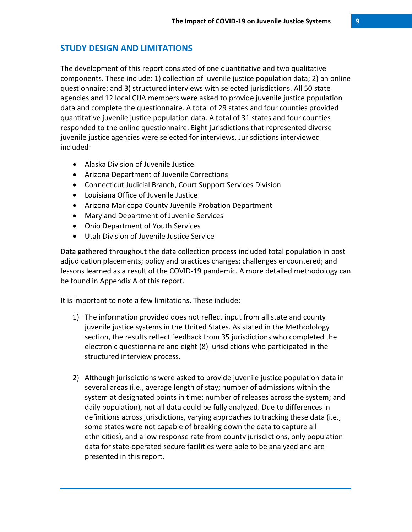# **STUDY DESIGN AND LIMITATIONS**

The development of this report consisted of one quantitative and two qualitative components. These include: 1) collection of juvenile justice population data; 2) an online questionnaire; and 3) structured interviews with selected jurisdictions. All 50 state agencies and 12 local CJJA members were asked to provide juvenile justice population data and complete the questionnaire. A total of 29 states and four counties provided quantitative juvenile justice population data. A total of 31 states and four counties responded to the online questionnaire. Eight jurisdictions that represented diverse juvenile justice agencies were selected for interviews. Jurisdictions interviewed included:

- Alaska Division of Juvenile Justice
- Arizona Department of Juvenile Corrections
- Connecticut Judicial Branch, Court Support Services Division
- Louisiana Office of Juvenile Justice
- Arizona Maricopa County Juvenile Probation Department
- Maryland Department of Juvenile Services
- Ohio Department of Youth Services
- Utah Division of Juvenile Justice Service

Data gathered throughout the data collection process included total population in post adjudication placements; policy and practices changes; challenges encountered; and lessons learned as a result of the COVID-19 pandemic. A more detailed methodology can be found in Appendix A of this report.

It is important to note a few limitations. These include:

- 1) The information provided does not reflect input from all state and county juvenile justice systems in the United States. As stated in the Methodology section, the results reflect feedback from 35 jurisdictions who completed the electronic questionnaire and eight (8) jurisdictions who participated in the structured interview process.
- 2) Although jurisdictions were asked to provide juvenile justice population data in several areas (i.e., average length of stay; number of admissions within the system at designated points in time; number of releases across the system; and daily population), not all data could be fully analyzed. Due to differences in definitions across jurisdictions, varying approaches to tracking these data (i.e., some states were not capable of breaking down the data to capture all ethnicities), and a low response rate from county jurisdictions, only population data for state-operated secure facilities were able to be analyzed and are presented in this report.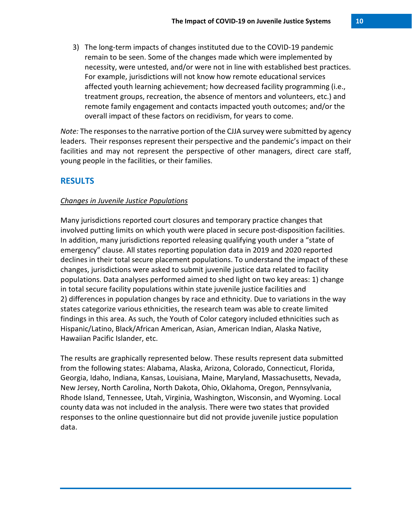3) The long-term impacts of changes instituted due to the COVID-19 pandemic remain to be seen. Some of the changes made which were implemented by necessity, were untested, and/or were not in line with established best practices. For example, jurisdictions will not know how remote educational services affected youth learning achievement; how decreased facility programming (i.e., treatment groups, recreation, the absence of mentors and volunteers, etc.) and remote family engagement and contacts impacted youth outcomes; and/or the overall impact of these factors on recidivism, for years to come.

*Note:* The responses to the narrative portion of the CJJA survey were submitted by agency leaders. Their responses represent their perspective and the pandemic's impact on their facilities and may not represent the perspective of other managers, direct care staff, young people in the facilities, or their families.

## **RESULTS**

#### *Changes in Juvenile Justice Populations*

Many jurisdictions reported court closures and temporary practice changes that involved putting limits on which youth were placed in secure post-disposition facilities. In addition, many jurisdictions reported releasing qualifying youth under a "state of emergency" clause. All states reporting population data in 2019 and 2020 reported declines in their total secure placement populations. To understand the impact of these changes, jurisdictions were asked to submit juvenile justice data related to facility populations. Data analyses performed aimed to shed light on two key areas: 1) change in total secure facility populations within state juvenile justice facilities and 2) differences in population changes by race and ethnicity. Due to variations in the way states categorize various ethnicities, the research team was able to create limited findings in this area. As such, the Youth of Color category included ethnicities such as Hispanic/Latino, Black/African American, Asian, American Indian, Alaska Native, Hawaiian Pacific Islander, etc.

The results are graphically represented below. These results represent data submitted from the following states: Alabama, Alaska, Arizona, Colorado, Connecticut, Florida, Georgia, Idaho, Indiana, Kansas, Louisiana, Maine, Maryland, Massachusetts, Nevada, New Jersey, North Carolina, North Dakota, Ohio, Oklahoma, Oregon, Pennsylvania, Rhode Island, Tennessee, Utah, Virginia, Washington, Wisconsin, and Wyoming. Local county data was not included in the analysis. There were two states that provided responses to the online questionnaire but did not provide juvenile justice population data.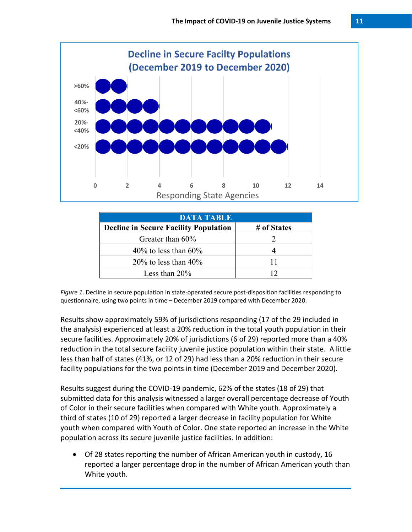

| <b>DATA TABLE</b>                            |             |  |
|----------------------------------------------|-------------|--|
| <b>Decline in Secure Facility Population</b> | # of States |  |
| Greater than $60\%$                          |             |  |
| 40% to less than $60\%$                      |             |  |
| 20% to less than $40\%$                      |             |  |
| Less than $20\%$                             |             |  |

*Figure 1*. Decline in secure population in state-operated secure post-disposition facilities responding to questionnaire, using two points in time – December 2019 compared with December 2020.

Results show approximately 59% of jurisdictions responding (17 of the 29 included in the analysis) experienced at least a 20% reduction in the total youth population in their secure facilities. Approximately 20% of jurisdictions (6 of 29) reported more than a 40% reduction in the total secure facility juvenile justice population within their state. A little less than half of states (41%, or 12 of 29) had less than a 20% reduction in their secure facility populations for the two points in time (December 2019 and December 2020).

Results suggest during the COVID-19 pandemic, 62% of the states (18 of 29) that submitted data for this analysis witnessed a larger overall percentage decrease of Youth of Color in their secure facilities when compared with White youth. Approximately a third of states (10 of 29) reported a larger decrease in facility population for White youth when compared with Youth of Color. One state reported an increase in the White population across its secure juvenile justice facilities. In addition:

• Of 28 states reporting the number of African American youth in custody, 16 reported a larger percentage drop in the number of African American youth than White youth.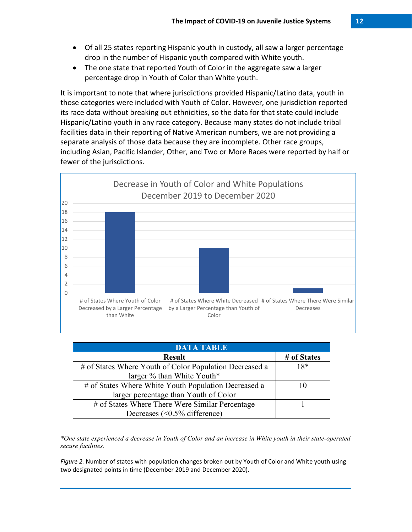- Of all 25 states reporting Hispanic youth in custody, all saw a larger percentage drop in the number of Hispanic youth compared with White youth.
- The one state that reported Youth of Color in the aggregate saw a larger percentage drop in Youth of Color than White youth.

It is important to note that where jurisdictions provided Hispanic/Latino data, youth in those categories were included with Youth of Color. However, one jurisdiction reported its race data without breaking out ethnicities, so the data for that state could include Hispanic/Latino youth in any race category. Because many states do not include tribal facilities data in their reporting of Native American numbers, we are not providing a separate analysis of those data because they are incomplete. Other race groups, including Asian, Pacific Islander, Other, and Two or More Races were reported by half or fewer of the jurisdictions.



| <b>DATA TABLE</b>                                       |                          |  |  |
|---------------------------------------------------------|--------------------------|--|--|
| <b>Result</b>                                           | # of States              |  |  |
| # of States Where Youth of Color Population Decreased a | $18*$                    |  |  |
| larger % than White Youth*                              |                          |  |  |
| # of States Where White Youth Population Decreased a    | $\mathbf{I}(\mathbf{0})$ |  |  |
| larger percentage than Youth of Color                   |                          |  |  |
| # of States Where There Were Similar Percentage         |                          |  |  |
| Decreases $(<0.5\%$ difference)                         |                          |  |  |

*\*One state experienced a decrease in Youth of Color and an increase in White youth in their state-operated secure facilities.*

*Figure 2.* Number of states with population changes broken out by Youth of Color and White youth using two designated points in time (December 2019 and December 2020).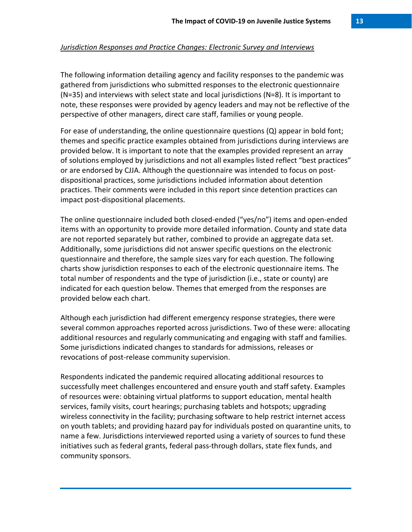The following information detailing agency and facility responses to the pandemic was gathered from jurisdictions who submitted responses to the electronic questionnaire (N=35) and interviews with select state and local jurisdictions (N=8). It is important to note, these responses were provided by agency leaders and may not be reflective of the perspective of other managers, direct care staff, families or young people.

For ease of understanding, the online questionnaire questions (Q) appear in bold font; themes and specific practice examples obtained from jurisdictions during interviews are provided below. It is important to note that the examples provided represent an array of solutions employed by jurisdictions and not all examples listed reflect "best practices" or are endorsed by CJJA. Although the questionnaire was intended to focus on postdispositional practices, some jurisdictions included information about detention practices. Their comments were included in this report since detention practices can impact post-dispositional placements.

The online questionnaire included both closed-ended ("yes/no") items and open-ended items with an opportunity to provide more detailed information. County and state data are not reported separately but rather, combined to provide an aggregate data set. Additionally, some jurisdictions did not answer specific questions on the electronic questionnaire and therefore, the sample sizes vary for each question. The following charts show jurisdiction responses to each of the electronic questionnaire items. The total number of respondents and the type of jurisdiction (i.e., state or county) are indicated for each question below. Themes that emerged from the responses are provided below each chart.

Although each jurisdiction had different emergency response strategies, there were several common approaches reported across jurisdictions. Two of these were: allocating additional resources and regularly communicating and engaging with staff and families. Some jurisdictions indicated changes to standards for admissions, releases or revocations of post-release community supervision.

Respondents indicated the pandemic required allocating additional resources to successfully meet challenges encountered and ensure youth and staff safety. Examples of resources were: obtaining virtual platforms to support education, mental health services, family visits, court hearings; purchasing tablets and hotspots; upgrading wireless connectivity in the facility; purchasing software to help restrict internet access on youth tablets; and providing hazard pay for individuals posted on quarantine units, to name a few. Jurisdictions interviewed reported using a variety of sources to fund these initiatives such as federal grants, federal pass-through dollars, state flex funds, and community sponsors.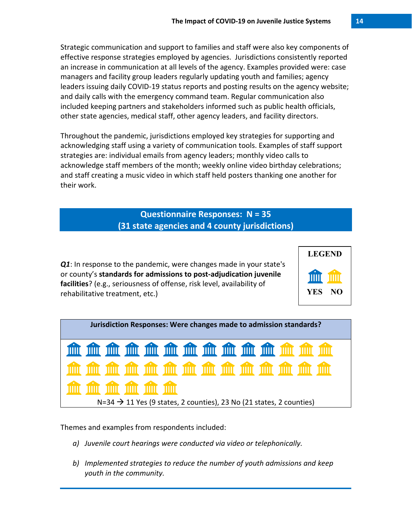Strategic communication and support to families and staff were also key components of effective response strategies employed by agencies. Jurisdictions consistently reported an increase in communication at all levels of the agency. Examples provided were: case managers and facility group leaders regularly updating youth and families; agency leaders issuing daily COVID-19 status reports and posting results on the agency website; and daily calls with the emergency command team. Regular communication also included keeping partners and stakeholders informed such as public health officials, other state agencies, medical staff, other agency leaders, and facility directors.

Throughout the pandemic, jurisdictions employed key strategies for supporting and acknowledging staff using a variety of communication tools. Examples of staff support strategies are: individual emails from agency leaders; monthly video calls to acknowledge staff members of the month; weekly online video birthday celebrations; and staff creating a music video in which staff held posters thanking one another for their work.

> **Questionnaire Responses: N = 35 (31 state agencies and 4 county jurisdictions)**

*Q1*: In response to the pandemic, were changes made in your state's or county's **standards for admissions to post-adjudication juvenile facilities**? (e.g., seriousness of offense, risk level, availability of rehabilitative treatment, etc.)



- *a) Juvenile court hearings were conducted via video or telephonically.*
- *b) Implemented strategies to reduce the number of youth admissions and keep youth in the community.*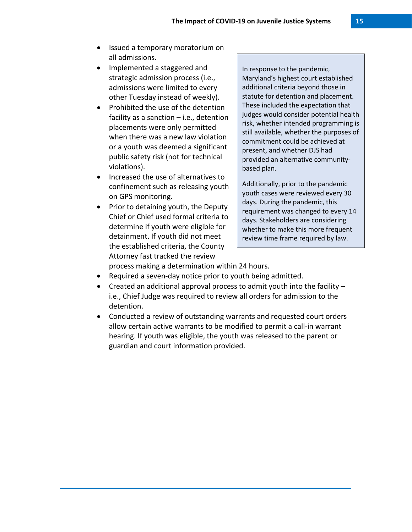- Issued a temporary moratorium on all admissions.
- Implemented a staggered and strategic admission process (i.e., admissions were limited to every other Tuesday instead of weekly).
- Prohibited the use of the detention facility as a sanction  $-$  i.e., detention placements were only permitted when there was a new law violation or a youth was deemed a significant public safety risk (not for technical violations).
- Increased the use of alternatives to confinement such as releasing youth on GPS monitoring.
- Prior to detaining youth, the Deputy Chief or Chief used formal criteria to determine if youth were eligible for detainment. If youth did not meet the established criteria, the County Attorney fast tracked the review

In response to the pandemic, Maryland's highest court established additional criteria beyond those in statute for detention and placement. These included the expectation that judges would consider potential health risk, whether intended programming is still available, whether the purposes of commitment could be achieved at present, and whether DJS had provided an alternative communitybased plan.

Additionally, prior to the pandemic youth cases were reviewed every 30 days. During the pandemic, this requirement was changed to every 14 days. Stakeholders are considering whether to make this more frequent review time frame required by law.

process making a determination within 24 hours.

- Required a seven-day notice prior to youth being admitted.
- Created an additional approval process to admit youth into the facility i.e., Chief Judge was required to review all orders for admission to the detention.
- Conducted a review of outstanding warrants and requested court orders allow certain active warrants to be modified to permit a call-in warrant hearing. If youth was eligible, the youth was released to the parent or guardian and court information provided.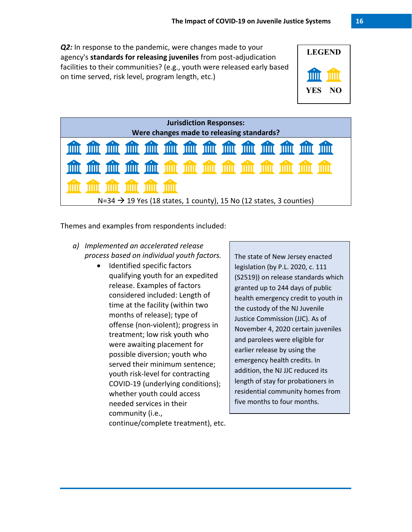*Q2:* In response to the pandemic, were changes made to your agency's **standards for releasing juveniles** from post-adjudication facilities to their communities? (e.g., youth were released early based on time served, risk level, program length, etc.)





Themes and examples from respondents included:

- *a) Implemented an accelerated release process based on individual youth factors.* 
	- Identified specific factors qualifying youth for an expedited release. Examples of factors considered included: Length of time at the facility (within two months of release); type of offense (non-violent); progress in treatment; low risk youth who were awaiting placement for possible diversion; youth who served their minimum sentence; youth risk-level for contracting COVID-19 (underlying conditions); whether youth could access needed services in their community (i.e.,

The state of New Jersey enacted legislation (by P.L. 2020, c. 111 (S2519)) on release standards which granted up to 244 days of public health emergency credit to youth in the custody of the NJ Juvenile Justice Commission (JJC). As of November 4, 2020 certain juveniles and parolees were eligible for earlier release by using the emergency health credits. In addition, the NJ JJC reduced its length of stay for probationers in residential community homes from five months to four months.

continue/complete treatment), etc.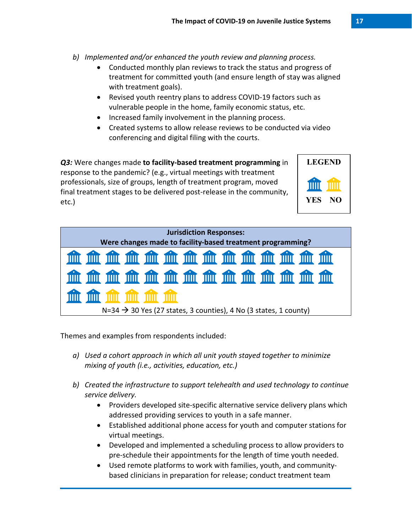- *b) Implemented and/or enhanced the youth review and planning process.*
	- Conducted monthly plan reviews to track the status and progress of treatment for committed youth (and ensure length of stay was aligned with treatment goals).
	- Revised youth reentry plans to address COVID-19 factors such as vulnerable people in the home, family economic status, etc.
	- Increased family involvement in the planning process.
	- Created systems to allow release reviews to be conducted via video conferencing and digital filing with the courts.

*Q3:* Were changes made **to facility-based treatment programming** in response to the pandemic? (e.g., virtual meetings with treatment professionals, size of groups, length of treatment program, moved final treatment stages to be delivered post-release in the community, etc.)



Themes and examples from respondents included:

- *a) Used a cohort approach in which all unit youth stayed together to minimize mixing of youth (i.e., activities, education, etc.)*
- *b) Created the infrastructure to support telehealth and used technology to continue service delivery.* 
	- Providers developed site-specific alternative service delivery plans which addressed providing services to youth in a safe manner.
	- Established additional phone access for youth and computer stations for virtual meetings.
	- Developed and implemented a scheduling process to allow providers to pre-schedule their appointments for the length of time youth needed.
	- Used remote platforms to work with families, youth, and communitybased clinicians in preparation for release; conduct treatment team

**LEGEND**

**YES NO**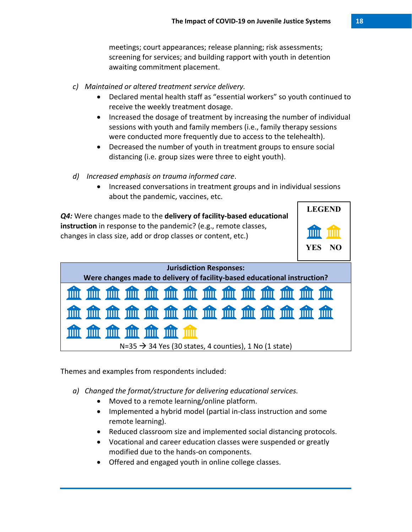meetings; court appearances; release planning; risk assessments; screening for services; and building rapport with youth in detention awaiting commitment placement.

- *c) Maintained or altered treatment service delivery.*
	- Declared mental health staff as "essential workers" so youth continued to receive the weekly treatment dosage.
	- Increased the dosage of treatment by increasing the number of individual sessions with youth and family members (i.e., family therapy sessions were conducted more frequently due to access to the telehealth).
	- Decreased the number of youth in treatment groups to ensure social distancing (i.e. group sizes were three to eight youth).
- *d) Increased emphasis on trauma informed care*.
	- Increased conversations in treatment groups and in individual sessions about the pandemic, vaccines, etc.



 $N=35 \rightarrow 34$  Yes (30 states, 4 counties), 1 No (1 state)

Themes and examples from respondents included:

THIT

TITIT

`IIIII

TIIII

- *a) Changed the format/structure for delivering educational services.*
	- Moved to a remote learning/online platform.
	- Implemented a hybrid model (partial in-class instruction and some remote learning).
	- Reduced classroom size and implemented social distancing protocols.
	- Vocational and career education classes were suspended or greatly modified due to the hands-on components.
	- Offered and engaged youth in online college classes.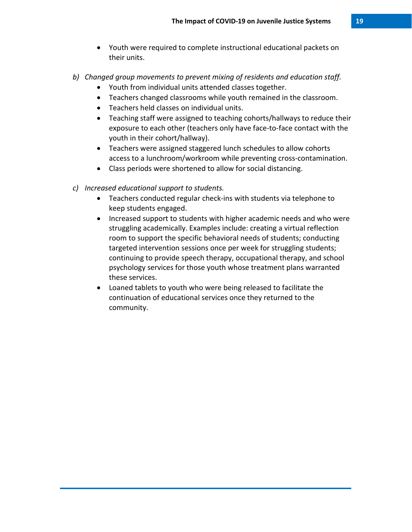- Youth were required to complete instructional educational packets on their units.
- *b) Changed group movements to prevent mixing of residents and education staff.*
	- Youth from individual units attended classes together.
	- Teachers changed classrooms while youth remained in the classroom.
	- Teachers held classes on individual units.
	- Teaching staff were assigned to teaching cohorts/hallways to reduce their exposure to each other (teachers only have face-to-face contact with the youth in their cohort/hallway).
	- Teachers were assigned staggered lunch schedules to allow cohorts access to a lunchroom/workroom while preventing cross-contamination.
	- Class periods were shortened to allow for social distancing.
- *c) Increased educational support to students.*
	- Teachers conducted regular check-ins with students via telephone to keep students engaged.
	- Increased support to students with higher academic needs and who were struggling academically. Examples include: creating a virtual reflection room to support the specific behavioral needs of students; conducting targeted intervention sessions once per week for struggling students; continuing to provide speech therapy, occupational therapy, and school psychology services for those youth whose treatment plans warranted these services.
	- Loaned tablets to youth who were being released to facilitate the continuation of educational services once they returned to the community.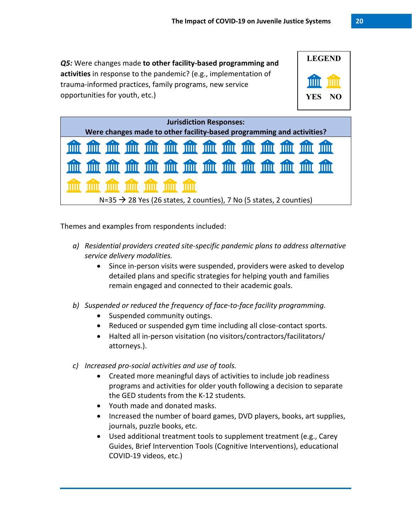*Q5:* Were changes made **to other facility-based programming and activities** in response to the pandemic? (e.g., implementation of trauma-informed practices, family programs, new service opportunities for youth, etc.)



| <b>Jurisdiction Responses:</b>                                                 |  |  |  |  |
|--------------------------------------------------------------------------------|--|--|--|--|
| Were changes made to other facility-based programming and activities?          |  |  |  |  |
| 血血血血血血血血血血血血血                                                                  |  |  |  |  |
| 血血血血血血血血血血血血                                                                   |  |  |  |  |
| <b>This film film film film film</b>                                           |  |  |  |  |
| $N=35 \rightarrow 28$ Yes (26 states, 2 counties), 7 No (5 states, 2 counties) |  |  |  |  |

Themes and examples from respondents included:

- *a) Residential providers created site-specific pandemic plans to address alternative service delivery modalities.* 
	- Since in-person visits were suspended, providers were asked to develop detailed plans and specific strategies for helping youth and families remain engaged and connected to their academic goals.

*b) Suspended or reduced the frequency of face-to-face facility programming.*

- Suspended community outings.
- Reduced or suspended gym time including all close-contact sports.
- Halted all in-person visitation (no visitors/contractors/facilitators/ attorneys.).
- *c) Increased pro-social activities and use of tools.*
	- Created more meaningful days of activities to include job readiness programs and activities for older youth following a decision to separate the GED students from the K-12 students.
	- Youth made and donated masks.
	- Increased the number of board games, DVD players, books, art supplies, journals, puzzle books, etc.
	- Used additional treatment tools to supplement treatment (e.g., Carey Guides, Brief Intervention Tools (Cognitive Interventions), educational COVID-19 videos, etc.)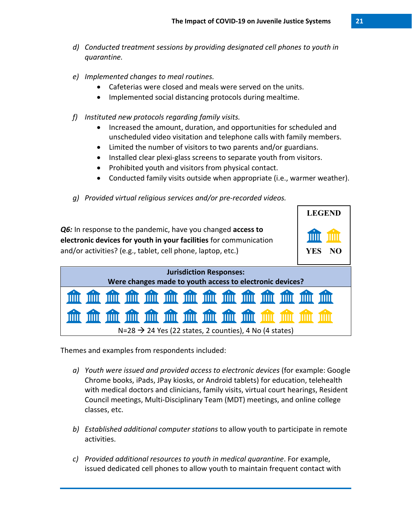- *d) Conducted treatment sessions by providing designated cell phones to youth in quarantine.*
- *e) Implemented changes to meal routines.*
	- Cafeterias were closed and meals were served on the units.
	- Implemented social distancing protocols during mealtime.
- *f) Instituted new protocols regarding family visits.*
	- Increased the amount, duration, and opportunities for scheduled and unscheduled video visitation and telephone calls with family members.
	- Limited the number of visitors to two parents and/or guardians.
	- Installed clear plexi-glass screens to separate youth from visitors.
	- Prohibited youth and visitors from physical contact.
	- Conducted family visits outside when appropriate (i.e., warmer weather).
- *g) Provided virtual religious services and/or pre-recorded videos.*



- *a) Youth were issued and provided access to electronic devices* (for example: Google Chrome books, iPads, JPay kiosks, or Android tablets) for education, telehealth with medical doctors and clinicians, family visits, virtual court hearings, Resident Council meetings, Multi-Disciplinary Team (MDT) meetings, and online college classes, etc.
- *b) Established additional computer stations* to allow youth to participate in remote activities.
- *c) Provided additional resources to youth in medical quarantine*. For example, issued dedicated cell phones to allow youth to maintain frequent contact with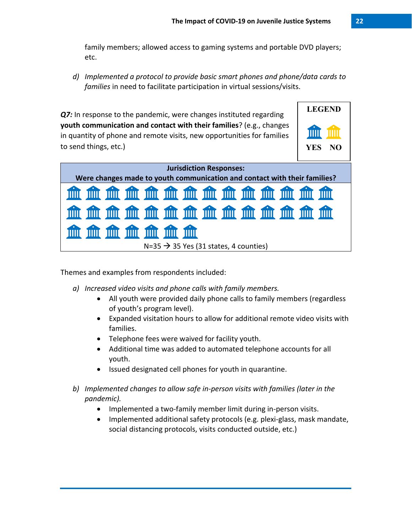family members; allowed access to gaming systems and portable DVD players; etc.

*d) Implemented a protocol to provide basic smart phones and phone/data cards to families* in need to facilitate participation in virtual sessions/visits.

**Q7:** In response to the pandemic, were changes instituted regarding **youth communication and contact with their families**? (e.g., changes in quantity of phone and remote visits, new opportunities for families to send things, etc.)



Themes and examples from respondents included:

- *a) Increased video visits and phone calls with family members.*
	- All youth were provided daily phone calls to family members (regardless of youth's program level).
	- Expanded visitation hours to allow for additional remote video visits with families.
	- Telephone fees were waived for facility youth.
	- Additional time was added to automated telephone accounts for all youth.
	- Issued designated cell phones for youth in quarantine.
- *b) Implemented changes to allow safe in-person visits with families (later in the pandemic).*
	- Implemented a two-family member limit during in-person visits.
	- Implemented additional safety protocols (e.g. plexi-glass, mask mandate, social distancing protocols, visits conducted outside, etc.)

**LEGEND**

**YES NO**

Ш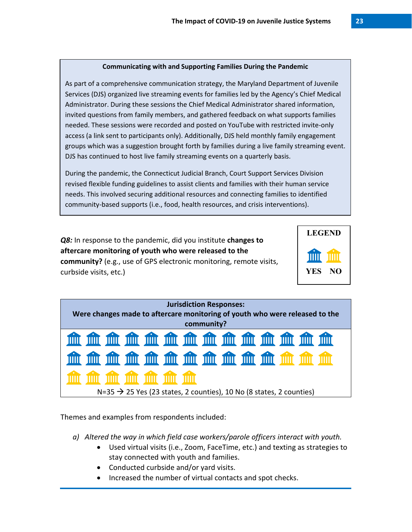#### **Communicating with and Supporting Families During the Pandemic**

As part of a comprehensive communication strategy, the Maryland Department of Juvenile Services (DJS) organized live streaming events for families led by the Agency's Chief Medical Administrator. During these sessions the Chief Medical Administrator shared information, invited questions from family members, and gathered feedback on what supports families needed. These sessions were recorded and posted on YouTube with restricted invite-only access (a link sent to participants only). Additionally, DJS held monthly family engagement groups which was a suggestion brought forth by families during a live family streaming event. DJS has continued to host live family streaming events on a quarterly basis.

During the pandemic, the Connecticut Judicial Branch, Court Support Services Division revised flexible funding guidelines to assist clients and families with their human service needs. This involved securing additional resources and connecting families to identified community-based supports (i.e., food, health resources, and crisis interventions).

*Q8:* In response to the pandemic, did you institute **changes to aftercare monitoring of youth who were released to the community?** (e.g., use of GPS electronic monitoring, remote visits, curbside visits, etc.)





- *a) Altered the way in which field case workers/parole officers interact with youth.*
	- Used virtual visits (i.e., Zoom, FaceTime, etc.) and texting as strategies to stay connected with youth and families.
	- Conducted curbside and/or yard visits.
	- Increased the number of virtual contacts and spot checks.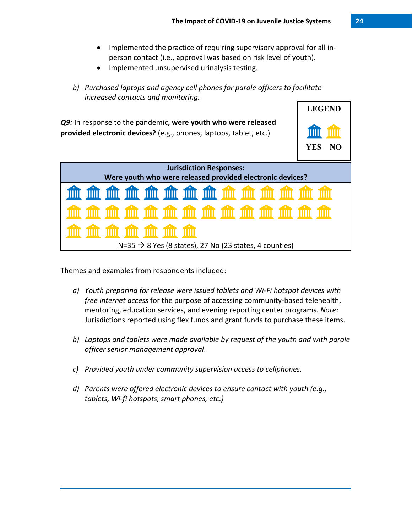- Implemented the practice of requiring supervisory approval for all inperson contact (i.e., approval was based on risk level of youth).
- Implemented unsupervised urinalysis testing.
- *b) Purchased laptops and agency cell phones for parole officers to facilitate increased contacts and monitoring.*



- *a) Youth preparing for release were issued tablets and Wi-Fi hotspot devices with free internet access* for the purpose of accessing community-based telehealth, mentoring, education services, and evening reporting center programs. *Note*: Jurisdictions reported using flex funds and grant funds to purchase these items.
- *b) Laptops and tablets were made available by request of the youth and with parole officer senior management approval*.
- *c) Provided youth under community supervision access to cellphones.*
- *d) Parents were offered electronic devices to ensure contact with youth (e.g., tablets, Wi-fi hotspots, smart phones, etc.)*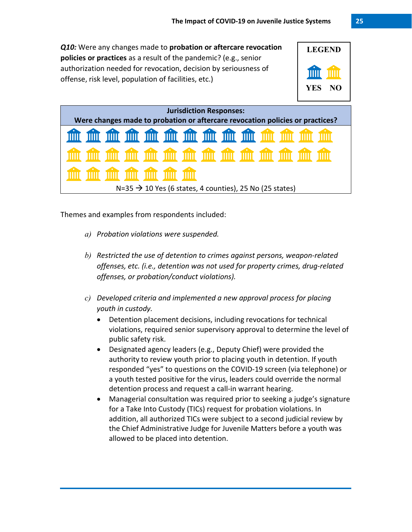*Q10:* Were any changes made to **probation or aftercare revocation policies or practices** as a result of the pandemic? (e.g., senior authorization needed for revocation, decision by seriousness of offense, risk level, population of facilities, etc.)



| <b>Jurisdiction Responses:</b>                                                |  |  |  |  |
|-------------------------------------------------------------------------------|--|--|--|--|
| Were changes made to probation or aftercare revocation policies or practices? |  |  |  |  |
| 血血血血血血血血血血血血                                                                  |  |  |  |  |
|                                                                               |  |  |  |  |
| <u>ann am am am am am </u>                                                    |  |  |  |  |
| $N=35 \rightarrow 10$ Yes (6 states, 4 counties), 25 No (25 states)           |  |  |  |  |

- *a) Probation violations were suspended.*
- *b) Restricted the use of detention to crimes against persons, weapon-related offenses, etc. (i.e., detention was not used for property crimes, drug-related offenses, or probation/conduct violations).*
- *c) Developed criteria and implemented a new approval process for placing youth in custody.*
	- Detention placement decisions, including revocations for technical violations, required senior supervisory approval to determine the level of public safety risk.
	- Designated agency leaders (e.g., Deputy Chief) were provided the authority to review youth prior to placing youth in detention. If youth responded "yes" to questions on the COVID-19 screen (via telephone) or a youth tested positive for the virus, leaders could override the normal detention process and request a call-in warrant hearing.
	- Managerial consultation was required prior to seeking a judge's signature for a Take Into Custody (TICs) request for probation violations. In addition, all authorized TICs were subject to a second judicial review by the Chief Administrative Judge for Juvenile Matters before a youth was allowed to be placed into detention.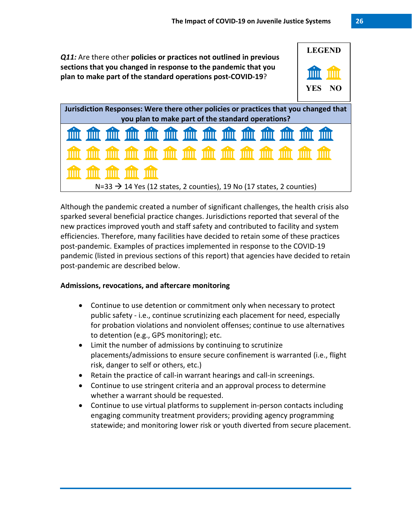*Q11:* Are there other **policies or practices not outlined in previous sections that you changed in response to the pandemic that you plan to make part of the standard operations post-COVID-19**?





Although the pandemic created a number of significant challenges, the health crisis also sparked several beneficial practice changes. Jurisdictions reported that several of the new practices improved youth and staff safety and contributed to facility and system efficiencies. Therefore, many facilities have decided to retain some of these practices post-pandemic. Examples of practices implemented in response to the COVID-19 pandemic (listed in previous sections of this report) that agencies have decided to retain post-pandemic are described below.

## **Admissions, revocations, and aftercare monitoring**

- Continue to use detention or commitment only when necessary to protect public safety - i.e., continue scrutinizing each placement for need, especially for probation violations and nonviolent offenses; continue to use alternatives to detention (e.g., GPS monitoring); etc.
- Limit the number of admissions by continuing to scrutinize placements/admissions to ensure secure confinement is warranted (i.e., flight risk, danger to self or others, etc.)
- Retain the practice of call-in warrant hearings and call-in screenings.
- Continue to use stringent criteria and an approval process to determine whether a warrant should be requested.
- Continue to use virtual platforms to supplement in-person contacts including engaging community treatment providers; providing agency programming statewide; and monitoring lower risk or youth diverted from secure placement.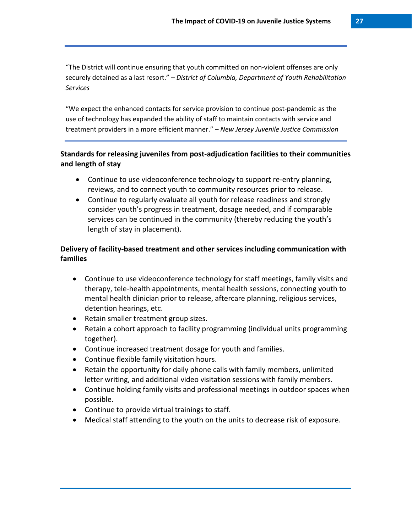"The District will continue ensuring that youth committed on non-violent offenses are only securely detained as a last resort." *– District of Columbia, Department of Youth Rehabilitation Services*

"We expect the enhanced contacts for service provision to continue post-pandemic as the use of technology has expanded the ability of staff to maintain contacts with service and treatment providers in a more efficient manner." *– New Jersey Juvenile Justice Commission*

# **Standards for releasing juveniles from post-adjudication facilities to their communities and length of stay**

- Continue to use videoconference technology to support re-entry planning, reviews, and to connect youth to community resources prior to release.
- Continue to regularly evaluate all youth for release readiness and strongly consider youth's progress in treatment, dosage needed, and if comparable services can be continued in the community (thereby reducing the youth's length of stay in placement).

# **Delivery of facility-based treatment and other services including communication with families**

- Continue to use videoconference technology for staff meetings, family visits and therapy, tele-health appointments, mental health sessions, connecting youth to mental health clinician prior to release, aftercare planning, religious services, detention hearings, etc.
- Retain smaller treatment group sizes.
- Retain a cohort approach to facility programming (individual units programming together).
- Continue increased treatment dosage for youth and families.
- Continue flexible family visitation hours.
- Retain the opportunity for daily phone calls with family members, unlimited letter writing, and additional video visitation sessions with family members.
- Continue holding family visits and professional meetings in outdoor spaces when possible.
- Continue to provide virtual trainings to staff.
- Medical staff attending to the youth on the units to decrease risk of exposure.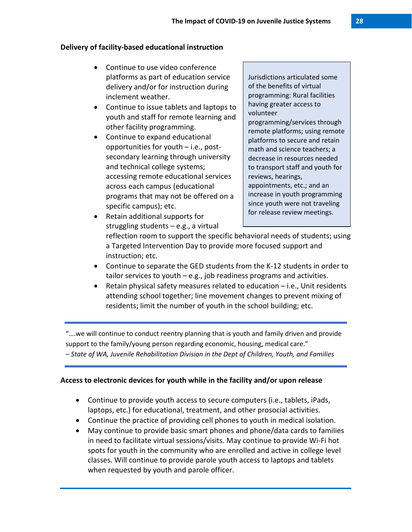#### **Delivery of facility-based educational instruction**

- Continue to use video conference platforms as part of education service delivery and/or for instruction during inclement weather.
- Continue to issue tablets and laptops to youth and staff for remote learning and other facility programming.
- Continue to expand educational opportunities for youth – i.e., postsecondary learning through university and technical college systems; accessing remote educational services across each campus (educational programs that may not be offered on a specific campus); etc.

Jurisdictions articulated some of the benefits of virtual programming: Rural facilities having greater access to volunteer programming/services through remote platforms; using remote platforms to secure and retain math and science teachers; a decrease in resources needed to transport staff and youth for reviews, hearings, appointments, etc.; and an increase in youth programming since youth were not traveling for release review meetings.

• Retain additional supports for struggling students – e.g., a virtual

reflection room to support the specific behavioral needs of students; using a Targeted Intervention Day to provide more focused support and instruction; etc.

- Continue to separate the GED students from the K-12 students in order to tailor services to youth – e.g., job readiness programs and activities.
- Retain physical safety measures related to education i.e., Unit residents attending school together; line movement changes to prevent mixing of residents; limit the number of youth in the school building; etc.

"….we will continue to conduct reentry planning that is youth and family driven and provide support to the family/young person regarding economic, housing, medical care." *– State of WA, Juvenile Rehabilitation Division in the Dept of Children, Youth, and Families*

## **Access to electronic devices for youth while in the facility and/or upon release**

- Continue to provide youth access to secure computers (i.e., tablets, iPads, laptops, etc.) for educational, treatment, and other prosocial activities.
- Continue the practice of providing cell phones to youth in medical isolation.
- May continue to provide basic smart phones and phone/data cards to families in need to facilitate virtual sessions/visits. May continue to provide Wi-Fi hot spots for youth in the community who are enrolled and active in college level classes. Will continue to provide parole youth access to laptops and tablets when requested by youth and parole officer.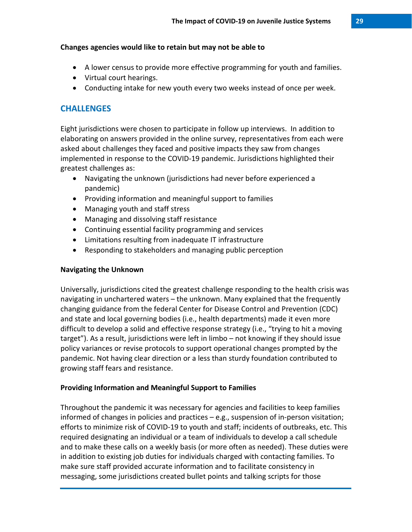#### **Changes agencies would like to retain but may not be able to**

- A lower census to provide more effective programming for youth and families.
- Virtual court hearings.
- Conducting intake for new youth every two weeks instead of once per week.

# **CHALLENGES**

Eight jurisdictions were chosen to participate in follow up interviews. In addition to elaborating on answers provided in the online survey, representatives from each were asked about challenges they faced and positive impacts they saw from changes implemented in response to the COVID-19 pandemic. Jurisdictions highlighted their greatest challenges as:

- Navigating the unknown (jurisdictions had never before experienced a pandemic)
- Providing information and meaningful support to families
- Managing youth and staff stress
- Managing and dissolving staff resistance
- Continuing essential facility programming and services
- Limitations resulting from inadequate IT infrastructure
- Responding to stakeholders and managing public perception

## **Navigating the Unknown**

Universally, jurisdictions cited the greatest challenge responding to the health crisis was navigating in unchartered waters – the unknown. Many explained that the frequently changing guidance from the federal Center for Disease Control and Prevention (CDC) and state and local governing bodies (i.e., health departments) made it even more difficult to develop a solid and effective response strategy (i.e., "trying to hit a moving target"). As a result, jurisdictions were left in limbo – not knowing if they should issue policy variances or revise protocols to support operational changes prompted by the pandemic. Not having clear direction or a less than sturdy foundation contributed to growing staff fears and resistance.

## **Providing Information and Meaningful Support to Families**

Throughout the pandemic it was necessary for agencies and facilities to keep families informed of changes in policies and practices – e.g., suspension of in-person visitation; efforts to minimize risk of COVID-19 to youth and staff; incidents of outbreaks, etc. This required designating an individual or a team of individuals to develop a call schedule and to make these calls on a weekly basis (or more often as needed). These duties were in addition to existing job duties for individuals charged with contacting families. To make sure staff provided accurate information and to facilitate consistency in messaging, some jurisdictions created bullet points and talking scripts for those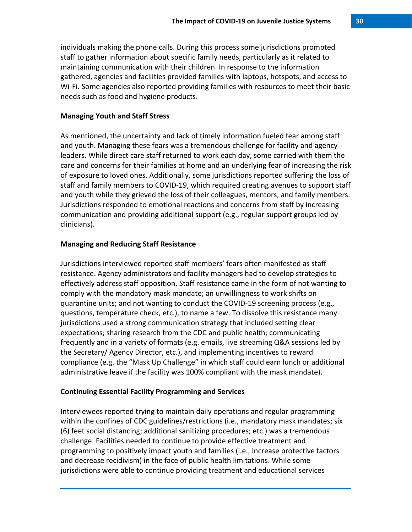individuals making the phone calls. During this process some jurisdictions prompted staff to gather information about specific family needs, particularly as it related to maintaining communication with their children. In response to the information gathered, agencies and facilities provided families with laptops, hotspots, and access to Wi-Fi. Some agencies also reported providing families with resources to meet their basic needs such as food and hygiene products.

#### **Managing Youth and Staff Stress**

As mentioned, the uncertainty and lack of timely information fueled fear among staff and youth. Managing these fears was a tremendous challenge for facility and agency leaders. While direct care staff returned to work each day, some carried with them the care and concerns for their families at home and an underlying fear of increasing the risk of exposure to loved ones. Additionally, some jurisdictions reported suffering the loss of staff and family members to COVID-19, which required creating avenues to support staff and youth while they grieved the loss of their colleagues, mentors, and family members. Jurisdictions responded to emotional reactions and concerns from staff by increasing communication and providing additional support (e.g., regular support groups led by clinicians).

#### **Managing and Reducing Staff Resistance**

Jurisdictions interviewed reported staff members' fears often manifested as staff resistance. Agency administrators and facility managers had to develop strategies to effectively address staff opposition. Staff resistance came in the form of not wanting to comply with the mandatory mask mandate; an unwillingness to work shifts on quarantine units; and not wanting to conduct the COVID-19 screening process (e.g., questions, temperature check, etc.), to name a few. To dissolve this resistance many jurisdictions used a strong communication strategy that included setting clear expectations; sharing research from the CDC and public health; communicating frequently and in a variety of formats (e.g. emails, live streaming Q&A sessions led by the Secretary/ Agency Director, etc.), and implementing incentives to reward compliance (e.g. the "Mask Up Challenge" in which staff could earn lunch or additional administrative leave if the facility was 100% compliant with the mask mandate).

#### **Continuing Essential Facility Programming and Services**

Interviewees reported trying to maintain daily operations and regular programming within the confines of CDC guidelines/restrictions (i.e., mandatory mask mandates; six (6) feet social distancing; additional sanitizing procedures; etc.) was a tremendous challenge. Facilities needed to continue to provide effective treatment and programming to positively impact youth and families (i.e., increase protective factors and decrease recidivism) in the face of public health limitations. While some jurisdictions were able to continue providing treatment and educational services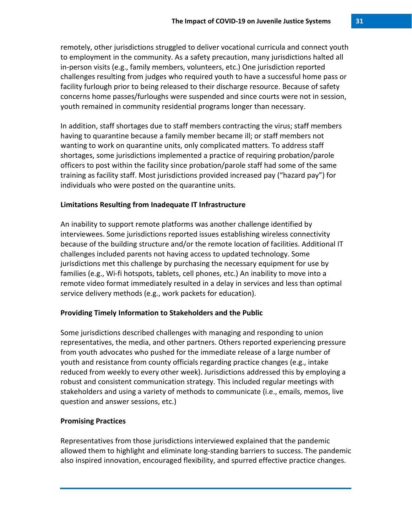remotely, other jurisdictions struggled to deliver vocational curricula and connect youth to employment in the community. As a safety precaution, many jurisdictions halted all in-person visits (e.g., family members, volunteers, etc.) One jurisdiction reported challenges resulting from judges who required youth to have a successful home pass or facility furlough prior to being released to their discharge resource. Because of safety concerns home passes/furloughs were suspended and since courts were not in session, youth remained in community residential programs longer than necessary.

In addition, staff shortages due to staff members contracting the virus; staff members having to quarantine because a family member became ill; or staff members not wanting to work on quarantine units, only complicated matters. To address staff shortages, some jurisdictions implemented a practice of requiring probation/parole officers to post within the facility since probation/parole staff had some of the same training as facility staff. Most jurisdictions provided increased pay ("hazard pay") for individuals who were posted on the quarantine units.

#### **Limitations Resulting from Inadequate IT Infrastructure**

An inability to support remote platforms was another challenge identified by interviewees. Some jurisdictions reported issues establishing wireless connectivity because of the building structure and/or the remote location of facilities. Additional IT challenges included parents not having access to updated technology. Some jurisdictions met this challenge by purchasing the necessary equipment for use by families (e.g., Wi-fi hotspots, tablets, cell phones, etc.) An inability to move into a remote video format immediately resulted in a delay in services and less than optimal service delivery methods (e.g., work packets for education).

#### **Providing Timely Information to Stakeholders and the Public**

Some jurisdictions described challenges with managing and responding to union representatives, the media, and other partners. Others reported experiencing pressure from youth advocates who pushed for the immediate release of a large number of youth and resistance from county officials regarding practice changes (e.g., intake reduced from weekly to every other week). Jurisdictions addressed this by employing a robust and consistent communication strategy. This included regular meetings with stakeholders and using a variety of methods to communicate (i.e., emails, memos, live question and answer sessions, etc.)

#### **Promising Practices**

Representatives from those jurisdictions interviewed explained that the pandemic allowed them to highlight and eliminate long-standing barriers to success. The pandemic also inspired innovation, encouraged flexibility, and spurred effective practice changes.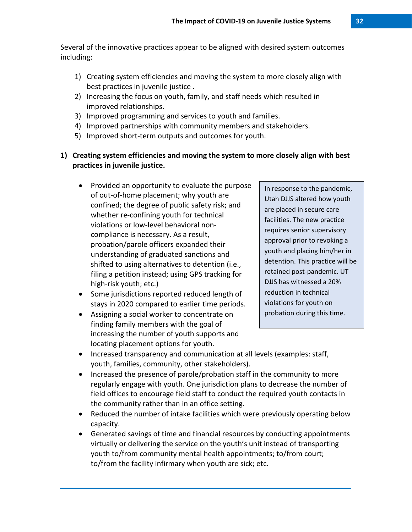Several of the innovative practices appear to be aligned with desired system outcomes including:

- 1) Creating system efficiencies and moving the system to more closely align with best practices in juvenile justice .
- 2) Increasing the focus on youth, family, and staff needs which resulted in improved relationships.
- 3) Improved programming and services to youth and families.
- 4) Improved partnerships with community members and stakeholders.
- 5) Improved short-term outputs and outcomes for youth.
- **1) Creating system efficiencies and moving the system to more closely align with best practices in juvenile justice.** 
	- Provided an opportunity to evaluate the purpose of out-of-home placement; why youth are confined; the degree of public safety risk; and whether re-confining youth for technical violations or low-level behavioral noncompliance is necessary. As a result, probation/parole officers expanded their understanding of graduated sanctions and shifted to using alternatives to detention (i.e., filing a petition instead; using GPS tracking for high-risk youth; etc.)
	- Some jurisdictions reported reduced length of stays in 2020 compared to earlier time periods.
	- Assigning a social worker to concentrate on finding family members with the goal of increasing the number of youth supports and locating placement options for youth.

In response to the pandemic, Utah DJJS altered how youth are placed in secure care facilities. The new practice requires senior supervisory approval prior to revoking a youth and placing him/her in detention. This practice will be retained post-pandemic. UT DJJS has witnessed a 20% reduction in technical violations for youth on probation during this time.

- Increased transparency and communication at all levels (examples: staff, youth, families, community, other stakeholders).
- Increased the presence of parole/probation staff in the community to more regularly engage with youth. One jurisdiction plans to decrease the number of field offices to encourage field staff to conduct the required youth contacts in the community rather than in an office setting.
- Reduced the number of intake facilities which were previously operating below capacity.
- Generated savings of time and financial resources by conducting appointments virtually or delivering the service on the youth's unit instead of transporting youth to/from community mental health appointments; to/from court; to/from the facility infirmary when youth are sick; etc.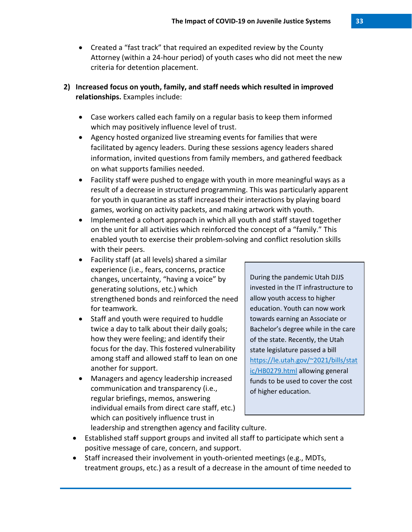• Created a "fast track" that required an expedited review by the County Attorney (within a 24-hour period) of youth cases who did not meet the new criteria for detention placement.

## **2) Increased focus on youth, family, and staff needs which resulted in improved relationships.** Examples include:

- Case workers called each family on a regular basis to keep them informed which may positively influence level of trust.
- Agency hosted organized live streaming events for families that were facilitated by agency leaders. During these sessions agency leaders shared information, invited questions from family members, and gathered feedback on what supports families needed.
- Facility staff were pushed to engage with youth in more meaningful ways as a result of a decrease in structured programming. This was particularly apparent for youth in quarantine as staff increased their interactions by playing board games, working on activity packets, and making artwork with youth.
- Implemented a cohort approach in which all youth and staff stayed together on the unit for all activities which reinforced the concept of a "family." This enabled youth to exercise their problem-solving and conflict resolution skills with their peers.
- Facility staff (at all levels) shared a similar experience (i.e., fears, concerns, practice changes, uncertainty, "having a voice" by generating solutions, etc.) which strengthened bonds and reinforced the need for teamwork.
- Staff and youth were required to huddle twice a day to talk about their daily goals; how they were feeling; and identify their focus for the day. This fostered vulnerability among staff and allowed staff to lean on one another for support.
- Managers and agency leadership increased communication and transparency (i.e., regular briefings, memos, answering individual emails from direct care staff, etc.) which can positively influence trust in leadership and strengthen agency and facility culture.

During the pandemic Utah DJJS invested in the IT infrastructure to allow youth access to higher education. Youth can now work towards earning an Associate or Bachelor's degree while in the care of the state. Recently, the Utah state legislature passed a bill [https://le.utah.gov/~2021/bills/stat](https://le.utah.gov/%7E2021/bills/static/HB0279.html) [ic/HB0279.html](https://le.utah.gov/%7E2021/bills/static/HB0279.html) allowing general funds to be used to cover the cost of higher education.

- Established staff support groups and invited all staff to participate which sent a positive message of care, concern, and support.
- Staff increased their involvement in youth-oriented meetings (e.g., MDTs, treatment groups, etc.) as a result of a decrease in the amount of time needed to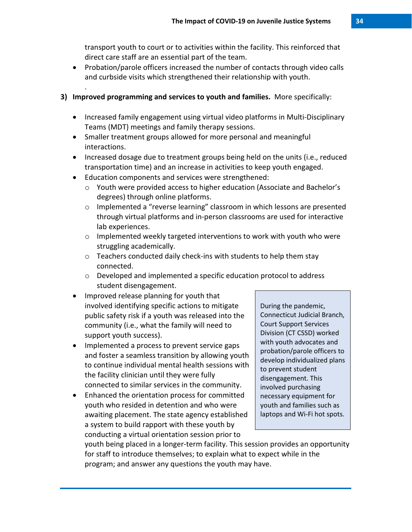transport youth to court or to activities within the facility. This reinforced that direct care staff are an essential part of the team.

• Probation/parole officers increased the number of contacts through video calls and curbside visits which strengthened their relationship with youth.

## **3) Improved programming and services to youth and families.** More specifically:

- Increased family engagement using virtual video platforms in Multi-Disciplinary Teams (MDT) meetings and family therapy sessions.
- Smaller treatment groups allowed for more personal and meaningful interactions.
- Increased dosage due to treatment groups being held on the units (i.e., reduced transportation time) and an increase in activities to keep youth engaged.
- Education components and services were strengthened:

.

- o Youth were provided access to higher education (Associate and Bachelor's degrees) through online platforms.
- o Implemented a "reverse learning" classroom in which lessons are presented through virtual platforms and in-person classrooms are used for interactive lab experiences.
- o Implemented weekly targeted interventions to work with youth who were struggling academically.
- o Teachers conducted daily check-ins with students to help them stay connected.
- o Developed and implemented a specific education protocol to address student disengagement.
- Improved release planning for youth that involved identifying specific actions to mitigate public safety risk if a youth was released into the community (i.e., what the family will need to support youth success).
- Implemented a process to prevent service gaps and foster a seamless transition by allowing youth to continue individual mental health sessions with the facility clinician until they were fully connected to similar services in the community.
- Enhanced the orientation process for committed youth who resided in detention and who were awaiting placement. The state agency established a system to build rapport with these youth by conducting a virtual orientation session prior to

During the pandemic, Connecticut Judicial Branch, Court Support Services Division (CT CSSD) worked with youth advocates and probation/parole officers to develop individualized plans to prevent student disengagement. This involved purchasing necessary equipment for youth and families such as laptops and Wi-Fi hot spots.

youth being placed in a longer-term facility. This session provides an opportunity for staff to introduce themselves; to explain what to expect while in the program; and answer any questions the youth may have.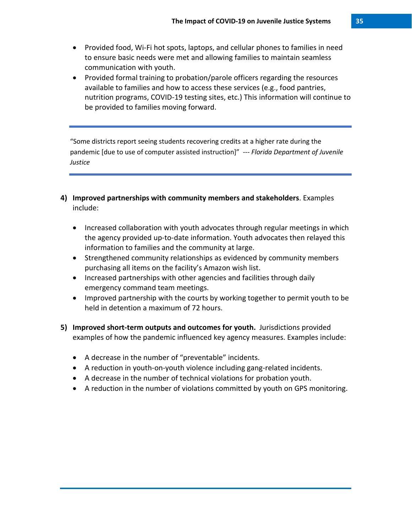- Provided food, Wi-Fi hot spots, laptops, and cellular phones to families in need to ensure basic needs were met and allowing families to maintain seamless communication with youth.
- Provided formal training to probation/parole officers regarding the resources available to families and how to access these services (e.g., food pantries, nutrition programs, COVID-19 testing sites, etc.) This information will continue to be provided to families moving forward.

"Some districts report seeing students recovering credits at a higher rate during the pandemic [due to use of computer assisted instruction]" *--- Florida Department of Juvenile Justice*

- **4) Improved partnerships with community members and stakeholders**. Examples include:
	- Increased collaboration with youth advocates through regular meetings in which the agency provided up-to-date information. Youth advocates then relayed this information to families and the community at large.
	- Strengthened community relationships as evidenced by community members purchasing all items on the facility's Amazon wish list.
	- Increased partnerships with other agencies and facilities through daily emergency command team meetings.
	- Improved partnership with the courts by working together to permit youth to be held in detention a maximum of 72 hours.
- **5) Improved short-term outputs and outcomes for youth.** Jurisdictions provided examples of how the pandemic influenced key agency measures. Examples include:
	- A decrease in the number of "preventable" incidents.
	- A reduction in youth-on-youth violence including gang-related incidents.
	- A decrease in the number of technical violations for probation youth.
	- A reduction in the number of violations committed by youth on GPS monitoring.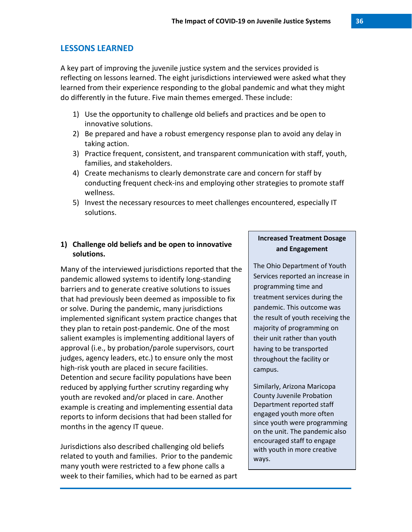## **LESSONS LEARNED**

A key part of improving the juvenile justice system and the services provided is reflecting on lessons learned. The eight jurisdictions interviewed were asked what they learned from their experience responding to the global pandemic and what they might do differently in the future. Five main themes emerged. These include:

- 1) Use the opportunity to challenge old beliefs and practices and be open to innovative solutions.
- 2) Be prepared and have a robust emergency response plan to avoid any delay in taking action.
- 3) Practice frequent, consistent, and transparent communication with staff, youth, families, and stakeholders.
- 4) Create mechanisms to clearly demonstrate care and concern for staff by conducting frequent check-ins and employing other strategies to promote staff wellness.
- 5) Invest the necessary resources to meet challenges encountered, especially IT solutions.

## **1) Challenge old beliefs and be open to innovative solutions.**

Many of the interviewed jurisdictions reported that the pandemic allowed systems to identify long-standing barriers and to generate creative solutions to issues that had previously been deemed as impossible to fix or solve. During the pandemic, many jurisdictions implemented significant system practice changes that they plan to retain post-pandemic. One of the most salient examples is implementing additional layers of approval (i.e., by probation/parole supervisors, court judges, agency leaders, etc.) to ensure only the most high-risk youth are placed in secure facilities. Detention and secure facility populations have been reduced by applying further scrutiny regarding why youth are revoked and/or placed in care. Another example is creating and implementing essential data reports to inform decisions that had been stalled for months in the agency IT queue.

Jurisdictions also described challenging old beliefs related to youth and families. Prior to the pandemic many youth were restricted to a few phone calls a week to their families, which had to be earned as part

## **Increased Treatment Dosage and Engagement**

The Ohio Department of Youth Services reported an increase in programming time and treatment services during the pandemic. This outcome was the result of youth receiving the majority of programming on their unit rather than youth having to be transported throughout the facility or campus.

Similarly, Arizona Maricopa County Juvenile Probation Department reported staff engaged youth more often since youth were programming on the unit. The pandemic also encouraged staff to engage with youth in more creative ways.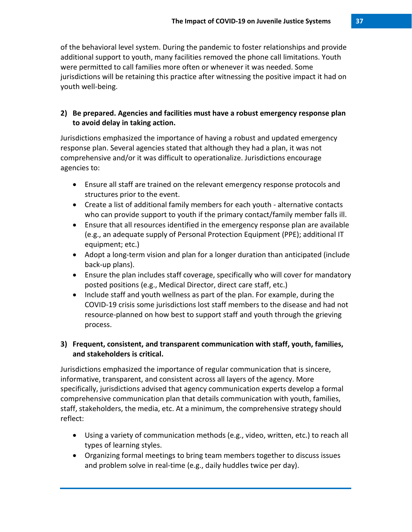of the behavioral level system. During the pandemic to foster relationships and provide additional support to youth, many facilities removed the phone call limitations. Youth were permitted to call families more often or whenever it was needed. Some jurisdictions will be retaining this practice after witnessing the positive impact it had on youth well-being.

# **2) Be prepared. Agencies and facilities must have a robust emergency response plan to avoid delay in taking action.**

Jurisdictions emphasized the importance of having a robust and updated emergency response plan. Several agencies stated that although they had a plan, it was not comprehensive and/or it was difficult to operationalize. Jurisdictions encourage agencies to:

- Ensure all staff are trained on the relevant emergency response protocols and structures prior to the event.
- Create a list of additional family members for each youth alternative contacts who can provide support to youth if the primary contact/family member falls ill.
- Ensure that all resources identified in the emergency response plan are available (e.g., an adequate supply of Personal Protection Equipment (PPE); additional IT equipment; etc.)
- Adopt a long-term vision and plan for a longer duration than anticipated (include back-up plans).
- Ensure the plan includes staff coverage, specifically who will cover for mandatory posted positions (e.g., Medical Director, direct care staff, etc.)
- Include staff and youth wellness as part of the plan. For example, during the COVID-19 crisis some jurisdictions lost staff members to the disease and had not resource-planned on how best to support staff and youth through the grieving process.

# **3) Frequent, consistent, and transparent communication with staff, youth, families, and stakeholders is critical.**

Jurisdictions emphasized the importance of regular communication that is sincere, informative, transparent, and consistent across all layers of the agency. More specifically, jurisdictions advised that agency communication experts develop a formal comprehensive communication plan that details communication with youth, families, staff, stakeholders, the media, etc. At a minimum, the comprehensive strategy should reflect:

- Using a variety of communication methods (e.g., video, written, etc.) to reach all types of learning styles.
- Organizing formal meetings to bring team members together to discuss issues and problem solve in real-time (e.g., daily huddles twice per day).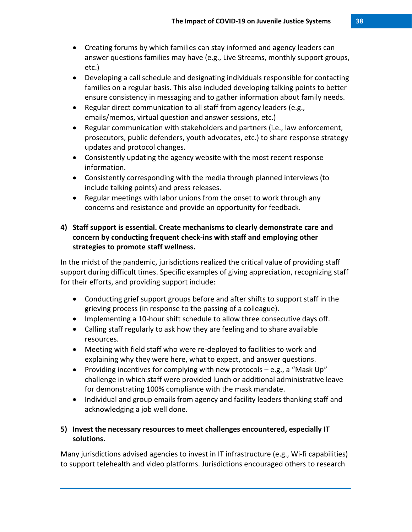- Creating forums by which families can stay informed and agency leaders can answer questions families may have (e.g., Live Streams, monthly support groups, etc.)
- Developing a call schedule and designating individuals responsible for contacting families on a regular basis. This also included developing talking points to better ensure consistency in messaging and to gather information about family needs.
- Regular direct communication to all staff from agency leaders (e.g., emails/memos, virtual question and answer sessions, etc.)
- Regular communication with stakeholders and partners (i.e., law enforcement, prosecutors, public defenders, youth advocates, etc.) to share response strategy updates and protocol changes.
- Consistently updating the agency website with the most recent response information.
- Consistently corresponding with the media through planned interviews (to include talking points) and press releases.
- Regular meetings with labor unions from the onset to work through any concerns and resistance and provide an opportunity for feedback.

# **4) Staff support is essential. Create mechanisms to clearly demonstrate care and concern by conducting frequent check-ins with staff and employing other strategies to promote staff wellness.**

In the midst of the pandemic, jurisdictions realized the critical value of providing staff support during difficult times. Specific examples of giving appreciation, recognizing staff for their efforts, and providing support include:

- Conducting grief support groups before and after shifts to support staff in the grieving process (in response to the passing of a colleague).
- Implementing a 10-hour shift schedule to allow three consecutive days off.
- Calling staff regularly to ask how they are feeling and to share available resources.
- Meeting with field staff who were re-deployed to facilities to work and explaining why they were here, what to expect, and answer questions.
- Providing incentives for complying with new protocols  $-$  e.g., a "Mask Up" challenge in which staff were provided lunch or additional administrative leave for demonstrating 100% compliance with the mask mandate.
- Individual and group emails from agency and facility leaders thanking staff and acknowledging a job well done.

# **5) Invest the necessary resources to meet challenges encountered, especially IT solutions.**

Many jurisdictions advised agencies to invest in IT infrastructure (e.g., Wi-fi capabilities) to support telehealth and video platforms. Jurisdictions encouraged others to research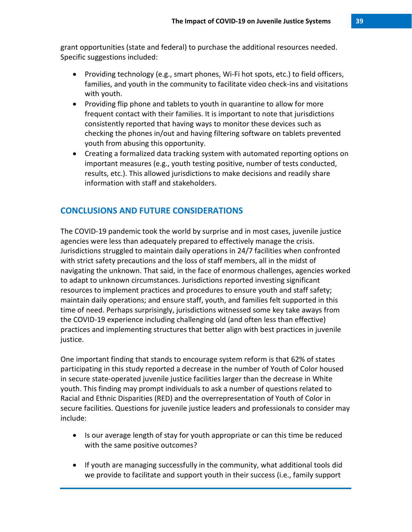grant opportunities (state and federal) to purchase the additional resources needed. Specific suggestions included:

- Providing technology (e.g., smart phones, Wi-Fi hot spots, etc.) to field officers, families, and youth in the community to facilitate video check-ins and visitations with youth.
- Providing flip phone and tablets to youth in quarantine to allow for more frequent contact with their families. It is important to note that jurisdictions consistently reported that having ways to monitor these devices such as checking the phones in/out and having filtering software on tablets prevented youth from abusing this opportunity.
- Creating a formalized data tracking system with automated reporting options on important measures (e.g., youth testing positive, number of tests conducted, results, etc.). This allowed jurisdictions to make decisions and readily share information with staff and stakeholders.

# **CONCLUSIONS AND FUTURE CONSIDERATIONS**

The COVID-19 pandemic took the world by surprise and in most cases, juvenile justice agencies were less than adequately prepared to effectively manage the crisis. Jurisdictions struggled to maintain daily operations in 24/7 facilities when confronted with strict safety precautions and the loss of staff members, all in the midst of navigating the unknown. That said, in the face of enormous challenges, agencies worked to adapt to unknown circumstances. Jurisdictions reported investing significant resources to implement practices and procedures to ensure youth and staff safety; maintain daily operations; and ensure staff, youth, and families felt supported in this time of need. Perhaps surprisingly, jurisdictions witnessed some key take aways from the COVID-19 experience including challenging old (and often less than effective) practices and implementing structures that better align with best practices in juvenile justice.

One important finding that stands to encourage system reform is that 62% of states participating in this study reported a decrease in the number of Youth of Color housed in secure state-operated juvenile justice facilities larger than the decrease in White youth. This finding may prompt individuals to ask a number of questions related to Racial and Ethnic Disparities (RED) and the overrepresentation of Youth of Color in secure facilities. Questions for juvenile justice leaders and professionals to consider may include:

- Is our average length of stay for youth appropriate or can this time be reduced with the same positive outcomes?
- If youth are managing successfully in the community, what additional tools did we provide to facilitate and support youth in their success (i.e., family support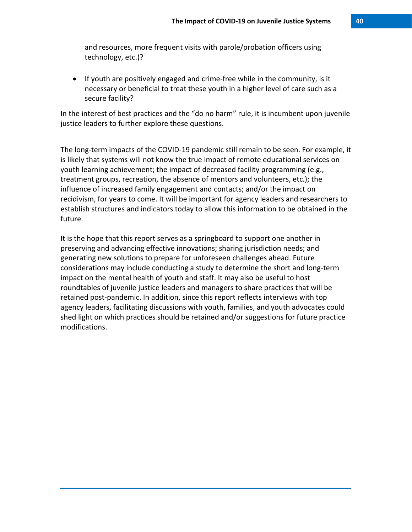and resources, more frequent visits with parole/probation officers using technology, etc.)?

• If youth are positively engaged and crime-free while in the community, is it necessary or beneficial to treat these youth in a higher level of care such as a secure facility?

In the interest of best practices and the "do no harm" rule, it is incumbent upon juvenile justice leaders to further explore these questions.

The long-term impacts of the COVID-19 pandemic still remain to be seen. For example, it is likely that systems will not know the true impact of remote educational services on youth learning achievement; the impact of decreased facility programming (e.g., treatment groups, recreation, the absence of mentors and volunteers, etc.); the influence of increased family engagement and contacts; and/or the impact on recidivism, for years to come. It will be important for agency leaders and researchers to establish structures and indicators today to allow this information to be obtained in the future.

It is the hope that this report serves as a springboard to support one another in preserving and advancing effective innovations; sharing jurisdiction needs; and generating new solutions to prepare for unforeseen challenges ahead. Future considerations may include conducting a study to determine the short and long-term impact on the mental health of youth and staff. It may also be useful to host roundtables of juvenile justice leaders and managers to share practices that will be retained post-pandemic. In addition, since this report reflects interviews with top agency leaders, facilitating discussions with youth, families, and youth advocates could shed light on which practices should be retained and/or suggestions for future practice modifications.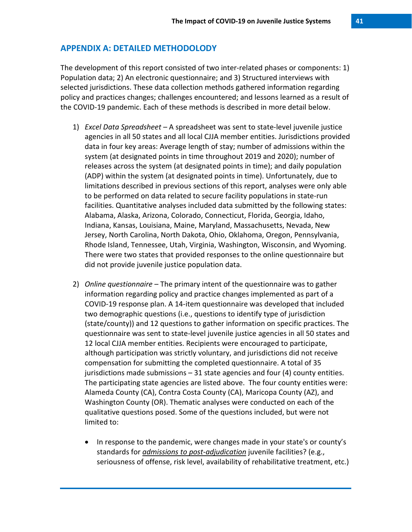## **APPENDIX A: DETAILED METHODOLODY**

The development of this report consisted of two inter-related phases or components: 1) Population data; 2) An electronic questionnaire; and 3) Structured interviews with selected jurisdictions. These data collection methods gathered information regarding policy and practices changes; challenges encountered; and lessons learned as a result of the COVID-19 pandemic. Each of these methods is described in more detail below.

- 1) *Excel Data Spreadsheet* A spreadsheet was sent to state-level juvenile justice agencies in all 50 states and all local CJJA member entities. Jurisdictions provided data in four key areas: Average length of stay; number of admissions within the system (at designated points in time throughout 2019 and 2020); number of releases across the system (at designated points in time); and daily population (ADP) within the system (at designated points in time). Unfortunately, due to limitations described in previous sections of this report, analyses were only able to be performed on data related to secure facility populations in state-run facilities. Quantitative analyses included data submitted by the following states: Alabama, Alaska, Arizona, Colorado, Connecticut, Florida, Georgia, Idaho, Indiana, Kansas, Louisiana, Maine, Maryland, Massachusetts, Nevada, New Jersey, North Carolina, North Dakota, Ohio, Oklahoma, Oregon, Pennsylvania, Rhode Island, Tennessee, Utah, Virginia, Washington, Wisconsin, and Wyoming. There were two states that provided responses to the online questionnaire but did not provide juvenile justice population data.
- 2) *Online questionnaire* The primary intent of the questionnaire was to gather information regarding policy and practice changes implemented as part of a COVID-19 response plan. A 14-item questionnaire was developed that included two demographic questions (i.e., questions to identify type of jurisdiction (state/county)) and 12 questions to gather information on specific practices. The questionnaire was sent to state-level juvenile justice agencies in all 50 states and 12 local CJJA member entities. Recipients were encouraged to participate, although participation was strictly voluntary, and jurisdictions did not receive compensation for submitting the completed questionnaire. A total of 35 jurisdictions made submissions – 31 state agencies and four (4) county entities. The participating state agencies are listed above. The four county entities were: Alameda County (CA), Contra Costa County (CA), Maricopa County (AZ), and Washington County (OR). Thematic analyses were conducted on each of the qualitative questions posed. Some of the questions included, but were not limited to:
	- In response to the pandemic, were changes made in your state's or county's standards for *admissions to post-adjudication* juvenile facilities? (e.g., seriousness of offense, risk level, availability of rehabilitative treatment, etc.)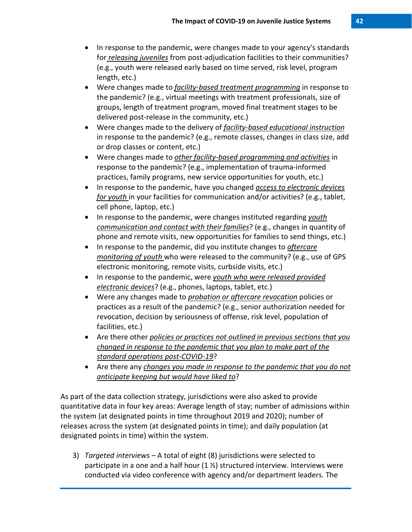- In response to the pandemic, were changes made to your agency's standards for *releasing juveniles* from post-adjudication facilities to their communities? (e.g., youth were released early based on time served, risk level, program length, etc.)
- Were changes made to *facility-based treatment programming* in response to the pandemic? (e.g., virtual meetings with treatment professionals, size of groups, length of treatment program, moved final treatment stages to be delivered post-release in the community, etc.)
- Were changes made to the delivery of *facility-based educational instruction* in response to the pandemic? (e.g., remote classes, changes in class size, add or drop classes or content, etc.)
- Were changes made to *other facility-based programming and activities* in response to the pandemic? (e.g., implementation of trauma-informed practices, family programs, new service opportunities for youth, etc.)
- In response to the pandemic, have you changed *access to electronic devices for youth* in your facilities for communication and/or activities? (e.g., tablet, cell phone, laptop, etc.)
- In response to the pandemic, were changes instituted regarding *youth communication and contact with their families*? (e.g., changes in quantity of phone and remote visits, new opportunities for families to send things, etc.)
- In response to the pandemic, did you institute changes to *aftercare monitoring of youth* who were released to the community? (e.g., use of GPS electronic monitoring, remote visits, curbside visits, etc.)
- In response to the pandemic, were *youth who were released provided electronic devices*? (e.g., phones, laptops, tablet, etc.)
- Were any changes made to *probation or aftercare revocation* policies or practices as a result of the pandemic? (e.g., senior authorization needed for revocation, decision by seriousness of offense, risk level, population of facilities, etc.)
- Are there other *policies or practices not outlined in previous sections that you changed in response to the pandemic that you plan to make part of the standard operations post-COVID-19*?
- Are there any *changes you made in response to the pandemic that you do not anticipate keeping but would have liked to*?

As part of the data collection strategy, jurisdictions were also asked to provide quantitative data in four key areas: Average length of stay; number of admissions within the system (at designated points in time throughout 2019 and 2020); number of releases across the system (at designated points in time); and daily population (at designated points in time) within the system.

3) *Targeted interviews* – A total of eight (8) jurisdictions were selected to participate in a one and a half hour (1 ½) structured interview. Interviews were conducted via video conference with agency and/or department leaders. The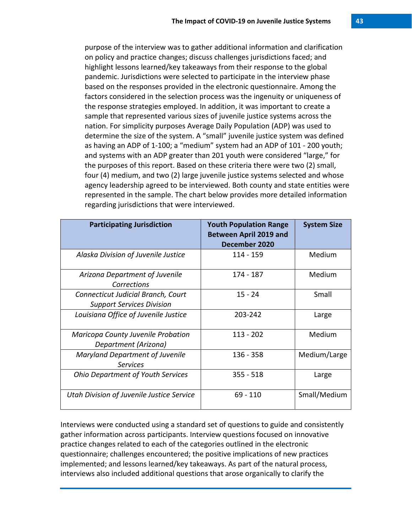purpose of the interview was to gather additional information and clarification on policy and practice changes; discuss challenges jurisdictions faced; and highlight lessons learned/key takeaways from their response to the global pandemic. Jurisdictions were selected to participate in the interview phase based on the responses provided in the electronic questionnaire. Among the factors considered in the selection process was the ingenuity or uniqueness of the response strategies employed. In addition, it was important to create a sample that represented various sizes of juvenile justice systems across the nation. For simplicity purposes Average Daily Population (ADP) was used to determine the size of the system. A "small" juvenile justice system was defined as having an ADP of 1-100; a "medium" system had an ADP of 101 - 200 youth; and systems with an ADP greater than 201 youth were considered "large," for the purposes of this report. Based on these criteria there were two (2) small, four (4) medium, and two (2) large juvenile justice systems selected and whose agency leadership agreed to be interviewed. Both county and state entities were represented in the sample. The chart below provides more detailed information regarding jurisdictions that were interviewed.

| <b>Participating Jurisdiction</b>                                      | <b>Youth Population Range</b><br><b>Between April 2019 and</b><br>December 2020 | <b>System Size</b> |
|------------------------------------------------------------------------|---------------------------------------------------------------------------------|--------------------|
| Alaska Division of Juvenile Justice                                    | 114 - 159                                                                       | Medium             |
| Arizona Department of Juvenile<br>Corrections                          | 174 - 187                                                                       | Medium             |
| Connecticut Judicial Branch, Court<br><b>Support Services Division</b> | $15 - 24$                                                                       | Small              |
| Louisiana Office of Juvenile Justice                                   | 203-242                                                                         | Large              |
| Maricopa County Juvenile Probation<br>Department (Arizona)             | $113 - 202$                                                                     | Medium             |
| <b>Maryland Department of Juvenile</b><br><b>Services</b>              | $136 - 358$                                                                     | Medium/Large       |
| <b>Ohio Department of Youth Services</b>                               | $355 - 518$                                                                     | Large              |
| Utah Division of Juvenile Justice Service                              | $69 - 110$                                                                      | Small/Medium       |

Interviews were conducted using a standard set of questions to guide and consistently gather information across participants. Interview questions focused on innovative practice changes related to each of the categories outlined in the electronic questionnaire; challenges encountered; the positive implications of new practices implemented; and lessons learned/key takeaways. As part of the natural process, interviews also included additional questions that arose organically to clarify the